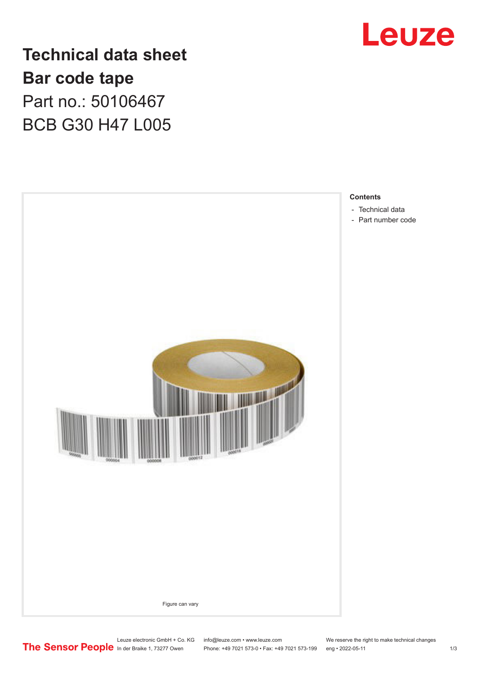

**Technical data sheet Bar code tape** Part no.: 50106467 BCB G30 H47 L005



Leuze electronic GmbH + Co. KG info@leuze.com • www.leuze.com We reserve the right to make technical changes<br>
The Sensor People in der Braike 1, 73277 Owen Phone: +49 7021 573-0 • Fax: +49 7021 573-199 eng • 2022-05-11

Phone: +49 7021 573-0 • Fax: +49 7021 573-199 eng • 2022-05-11 1 2022-05-11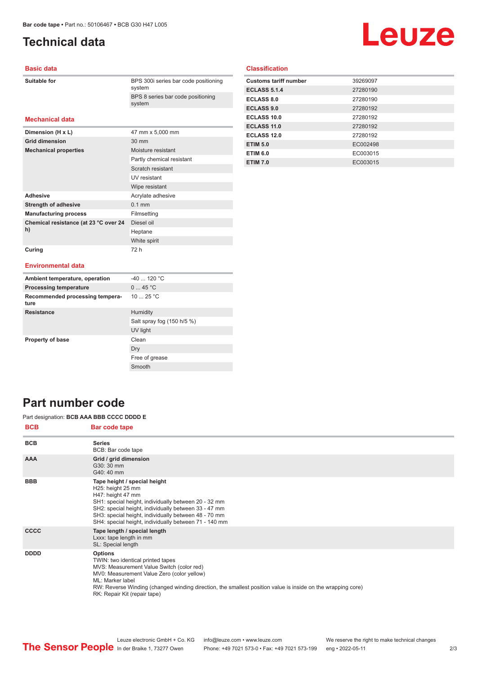## <span id="page-1-0"></span>**Technical data**

# Leuze

#### **Basic data**

| Suitable for |
|--------------|
|--------------|

BPS 300i series bar code positioning system BPS 8 series bar code positioning system

#### **Mechanical data**

| Dimension (H x L)                           | 47 mm x 5,000 mm          |
|---------------------------------------------|---------------------------|
| <b>Grid dimension</b>                       | $30 \text{ mm}$           |
| <b>Mechanical properties</b>                | Moisture resistant        |
|                                             | Partly chemical resistant |
|                                             | Scratch resistant         |
|                                             | UV resistant              |
|                                             | Wipe resistant            |
| <b>Adhesive</b>                             | Acrylate adhesive         |
| <b>Strength of adhesive</b>                 | $0.1$ mm                  |
| <b>Manufacturing process</b>                | Filmsetting               |
| Chemical resistance (at 23 °C over 24<br>h) | Diesel oil                |
|                                             | Heptane                   |
|                                             | White spirit              |
| Curing                                      | 72 h                      |

#### **Classification**

| <b>Customs tariff number</b> | 39269097 |
|------------------------------|----------|
| <b>ECLASS 5.1.4</b>          | 27280190 |
| <b>ECLASS 8.0</b>            | 27280190 |
| <b>ECLASS 9.0</b>            | 27280192 |
| ECLASS 10.0                  | 27280192 |
| <b>ECLASS 11.0</b>           | 27280192 |
| ECLASS 12.0                  | 27280192 |
| <b>ETIM 5.0</b>              | EC002498 |
| <b>ETIM 6.0</b>              | EC003015 |
| <b>ETIM 7.0</b>              | EC003015 |

#### **Environmental data**

| Ambient temperature, operation          | $-40$ 120 °C               |
|-----------------------------------------|----------------------------|
| <b>Processing temperature</b>           | 045 °C                     |
| Recommended processing tempera-<br>ture | 10 $25 °C$                 |
| <b>Resistance</b>                       | Humidity                   |
|                                         | Salt spray fog (150 h/5 %) |
|                                         | UV light                   |
| Property of base                        | Clean                      |
|                                         | Dry                        |
|                                         | Free of grease             |
|                                         | Smooth                     |

### **Part number code**

Part designation: **BCB AAA BBB CCCC DDDD E**

| <b>BCB</b>  | <b>Bar code tape</b>                                                                                                                                                                                                                                                                                              |
|-------------|-------------------------------------------------------------------------------------------------------------------------------------------------------------------------------------------------------------------------------------------------------------------------------------------------------------------|
| <b>BCB</b>  | <b>Series</b><br>BCB: Bar code tape                                                                                                                                                                                                                                                                               |
| <b>AAA</b>  | Grid / grid dimension<br>G30: 30 mm<br>G40: 40 mm                                                                                                                                                                                                                                                                 |
| <b>BBB</b>  | Tape height / special height<br>H25: height 25 mm<br>H47: height 47 mm<br>SH1: special height, individually between 20 - 32 mm<br>SH2: special height, individually between 33 - 47 mm<br>SH3: special height, individually between 48 - 70 mm<br>SH4: special height, individually between 71 - 140 mm           |
| <b>CCCC</b> | Tape length / special length<br>Lxxx: tape length in mm<br>SL: Special length                                                                                                                                                                                                                                     |
| <b>DDDD</b> | <b>Options</b><br>TWIN: two identical printed tapes<br>MVS: Measurement Value Switch (color red)<br>MV0: Measurement Value Zero (color yellow)<br>ML: Marker label<br>RW: Reverse Winding (changed winding direction, the smallest position value is inside on the wrapping core)<br>RK: Repair Kit (repair tape) |